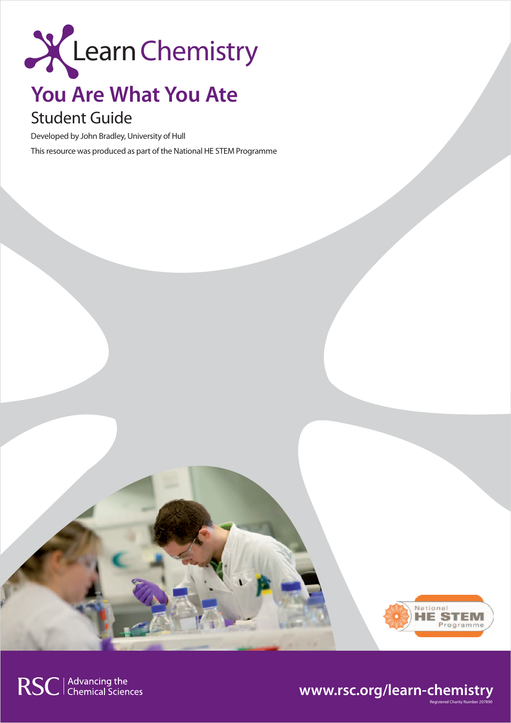

# **You Are What You Ate**

# Student Guide

Developed by John Bradley, University of Hull

This resource was produced as part of the National HE STEM Programme



Registered Charity Number 207890

# **www.rsc.org/learn-chemistry**

RSC | Advancing the<br>
Chemical Sciences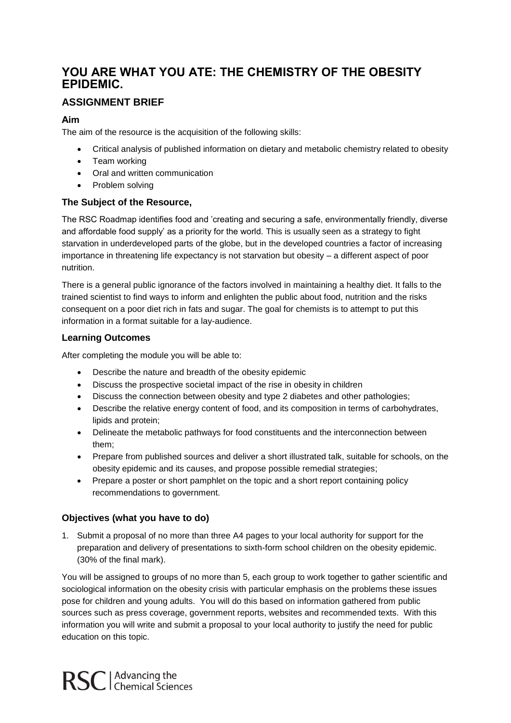# **YOU ARE WHAT YOU ATE: THE CHEMISTRY OF THE OBESITY EPIDEMIC.**

# **ASSIGNMENT BRIEF**

## **Aim**

The aim of the resource is the acquisition of the following skills:

- Critical analysis of published information on dietary and metabolic chemistry related to obesity
- Team working
- Oral and written communication
- Problem solving

#### **The Subject of the Resource,**

The RSC Roadmap identifies food and 'creating and securing a safe, environmentally friendly, diverse and affordable food supply' as a priority for the world. This is usually seen as a strategy to fight starvation in underdeveloped parts of the globe, but in the developed countries a factor of increasing importance in threatening life expectancy is not starvation but obesity – a different aspect of poor nutrition.

There is a general public ignorance of the factors involved in maintaining a healthy diet. It falls to the trained scientist to find ways to inform and enlighten the public about food, nutrition and the risks consequent on a poor diet rich in fats and sugar. The goal for chemists is to attempt to put this information in a format suitable for a lay-audience.

## **Learning Outcomes**

After completing the module you will be able to:

- Describe the nature and breadth of the obesity epidemic
- Discuss the prospective societal impact of the rise in obesity in children
- Discuss the connection between obesity and type 2 diabetes and other pathologies;
- Describe the relative energy content of food, and its composition in terms of carbohydrates, lipids and protein;
- Delineate the metabolic pathways for food constituents and the interconnection between them;
- Prepare from published sources and deliver a short illustrated talk, suitable for schools, on the obesity epidemic and its causes, and propose possible remedial strategies;
- Prepare a poster or short pamphlet on the topic and a short report containing policy recommendations to government.

## **Objectives (what you have to do)**

1. Submit a proposal of no more than three A4 pages to your local authority for support for the preparation and delivery of presentations to sixth-form school children on the obesity epidemic. (30% of the final mark).

You will be assigned to groups of no more than 5, each group to work together to gather scientific and sociological information on the obesity crisis with particular emphasis on the problems these issues pose for children and young adults. You will do this based on information gathered from public sources such as press coverage, government reports, websites and recommended texts. With this information you will write and submit a proposal to your local authority to justify the need for public education on this topic.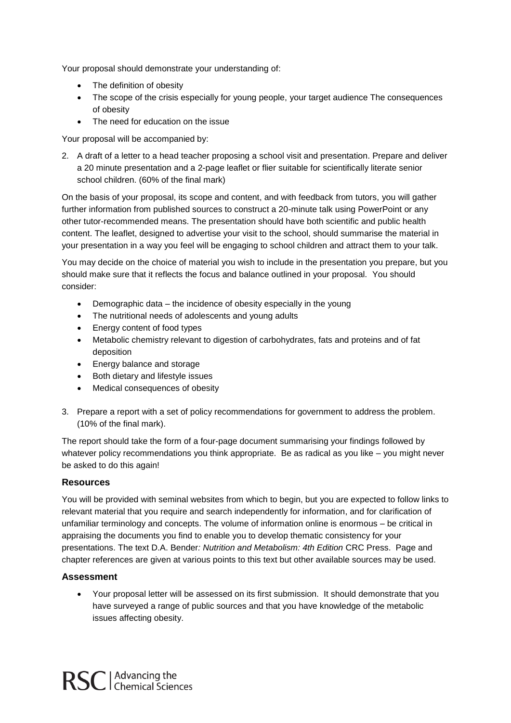Your proposal should demonstrate your understanding of:

- The definition of obesity
- The scope of the crisis especially for young people, your target audience The consequences of obesity
- The need for education on the issue

Your proposal will be accompanied by:

2. A draft of a letter to a head teacher proposing a school visit and presentation. Prepare and deliver a 20 minute presentation and a 2-page leaflet or flier suitable for scientifically literate senior school children. (60% of the final mark)

On the basis of your proposal, its scope and content, and with feedback from tutors, you will gather further information from published sources to construct a 20-minute talk using PowerPoint or any other tutor-recommended means. The presentation should have both scientific and public health content. The leaflet, designed to advertise your visit to the school, should summarise the material in your presentation in a way you feel will be engaging to school children and attract them to your talk.

You may decide on the choice of material you wish to include in the presentation you prepare, but you should make sure that it reflects the focus and balance outlined in your proposal. You should consider:

- Demographic data the incidence of obesity especially in the young
- The nutritional needs of adolescents and young adults
- Energy content of food types
- Metabolic chemistry relevant to digestion of carbohydrates, fats and proteins and of fat deposition
- Energy balance and storage
- Both dietary and lifestyle issues
- Medical consequences of obesity
- 3. Prepare a report with a set of policy recommendations for government to address the problem. (10% of the final mark).

The report should take the form of a four-page document summarising your findings followed by whatever policy recommendations you think appropriate. Be as radical as you like – you might never be asked to do this again!

#### **Resources**

You will be provided with seminal websites from which to begin, but you are expected to follow links to relevant material that you require and search independently for information, and for clarification of unfamiliar terminology and concepts. The volume of information online is enormous – be critical in appraising the documents you find to enable you to develop thematic consistency for your presentations. The text D.A. Bender*: Nutrition and Metabolism: 4th Edition* CRC Press. Page and chapter references are given at various points to this text but other available sources may be used.

#### **Assessment**

 Your proposal letter will be assessed on its first submission. It should demonstrate that you have surveyed a range of public sources and that you have knowledge of the metabolic issues affecting obesity.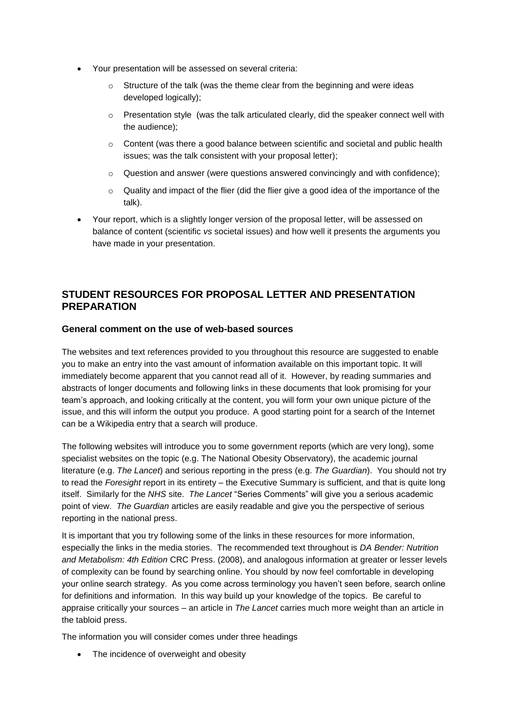- Your presentation will be assessed on several criteria:
	- $\circ$  Structure of the talk (was the theme clear from the beginning and were ideas developed logically);
	- $\circ$  Presentation style (was the talk articulated clearly, did the speaker connect well with the audience);
	- $\circ$  Content (was there a good balance between scientific and societal and public health issues; was the talk consistent with your proposal letter);
	- $\circ$  Question and answer (were questions answered convincingly and with confidence);
	- $\circ$  Quality and impact of the flier (did the flier give a good idea of the importance of the talk).
- Your report, which is a slightly longer version of the proposal letter, will be assessed on balance of content (scientific *vs* societal issues) and how well it presents the arguments you have made in your presentation.

# **STUDENT RESOURCES FOR PROPOSAL LETTER AND PRESENTATION PREPARATION**

#### **General comment on the use of web-based sources**

The websites and text references provided to you throughout this resource are suggested to enable you to make an entry into the vast amount of information available on this important topic. It will immediately become apparent that you cannot read all of it. However, by reading summaries and abstracts of longer documents and following links in these documents that look promising for your team's approach, and looking critically at the content, you will form your own unique picture of the issue, and this will inform the output you produce. A good starting point for a search of the Internet can be a Wikipedia entry that a search will produce.

The following websites will introduce you to some government reports (which are very long), some specialist websites on the topic (e.g. The National Obesity Observatory), the academic journal literature (e.g. *The Lancet*) and serious reporting in the press (e.g. *The Guardian*). You should not try to read the *Foresight* report in its entirety – the Executive Summary is sufficient, and that is quite long itself. Similarly for the *NHS* site. *The Lancet* "Series Comments" will give you a serious academic point of view. *The Guardian* articles are easily readable and give you the perspective of serious reporting in the national press.

It is important that you try following some of the links in these resources for more information, especially the links in the media stories. The recommended text throughout is *DA Bender: Nutrition and Metabolism: 4th Edition* CRC Press. (2008), and analogous information at greater or lesser levels of complexity can be found by searching online. You should by now feel comfortable in developing your online search strategy. As you come across terminology you haven't seen before, search online for definitions and information. In this way build up your knowledge of the topics. Be careful to appraise critically your sources – an article in *The Lancet* carries much more weight than an article in the tabloid press.

The information you will consider comes under three headings

• The incidence of overweight and obesity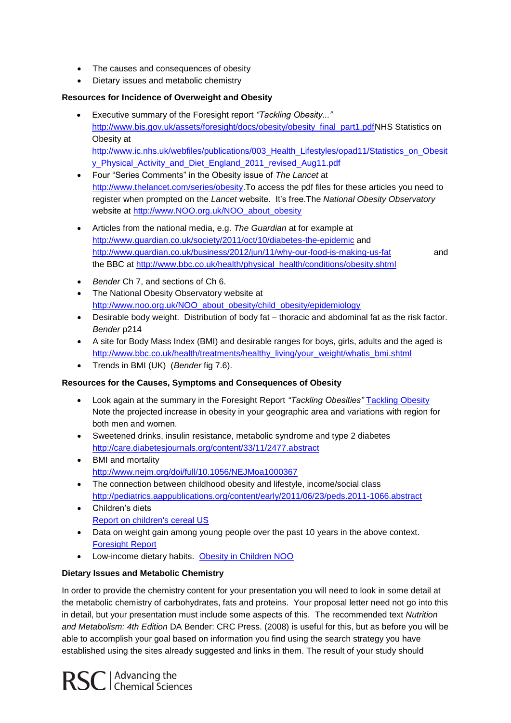- The causes and consequences of obesity
- Dietary issues and metabolic chemistry

#### **Resources for Incidence of Overweight and Obesity**

- Executive summary of the Foresight report *"Tackling Obesity..."* [http://www.bis.gov.uk/assets/foresight/docs/obesity/obesity\\_final\\_part1.pdfN](http://www.bis.gov.uk/assets/foresight/docs/obesity/obesity_final_part1.pdf)HS Statistics on Obesity at [http://www.ic.nhs.uk/webfiles/publications/003\\_Health\\_Lifestyles/opad11/Statistics\\_on\\_Obesit](http://www.ic.nhs.uk/webfiles/publications/003_Health_Lifestyles/opad11/Statistics_on_Obesity_Physical_Activity_and_Diet_England_2011_revised_Aug11.pdf) [y\\_Physical\\_Activity\\_and\\_Diet\\_England\\_2011\\_revised\\_Aug11.pdf](http://www.ic.nhs.uk/webfiles/publications/003_Health_Lifestyles/opad11/Statistics_on_Obesity_Physical_Activity_and_Diet_England_2011_revised_Aug11.pdf)
- Four "Series Comments" in the Obesity issue of *The Lancet* at [http://www.thelancet.com/series/obesity.](http://www.thelancet.com/series/obesity)To access the pdf files for these articles you need to register when prompted on the *Lancet* website. It's free.The *National Obesity Observatory* website at [http://www.NOO.org.uk/NOO\\_about\\_obesity](http://www.noo.org.uk/NOO_about_obesity)
- Articles from the national media, e.g. *The Guardian* at for example at <http://www.guardian.co.uk/society/2011/oct/10/diabetes-the-epidemic> and <http://www.guardian.co.uk/business/2012/jun/11/why-our-food-is-making-us-fat>and the BBC at [http://www.bbc.co.uk/health/physical\\_health/conditions/obesity.shtml](http://www.bbc.co.uk/health/physical_health/conditions/obesity.shtml)

- *Bender* Ch 7, and sections of Ch 6.
- The National Obesity Observatory website at [http://www.noo.org.uk/NOO\\_about\\_obesity/child\\_obesity/epidemiology](http://www.noo.org.uk/NOO_about_obesity/child_obesity/epidemiology)
- Desirable body weight. Distribution of body fat thoracic and abdominal fat as the risk factor. *Bender* p214
- A site for Body Mass Index (BMI) and desirable ranges for boys, girls, adults and the aged is [http://www.bbc.co.uk/health/treatments/healthy\\_living/your\\_weight/whatis\\_bmi.shtml](http://www.bbc.co.uk/health/treatments/healthy_living/your_weight/whatis_bmi.shtml)
- Trends in BMI (UK) (*Bender* fig 7.6).

#### **Resources for the Causes, Symptoms and Consequences of Obesity**

- Look again at the summary in the Foresight Report *"Tackling Obesities"* [Tackling Obesity](http://www.bis.gov.uk/foresight/our-work/projects/published-projects/tackling-obesities)  Note the projected increase in obesity in your geographic area and variations with region for both men and women.
- Sweetened drinks, insulin resistance, metabolic syndrome and type 2 diabetes <http://care.diabetesjournals.org/content/33/11/2477.abstract>
- BMI and mortality <http://www.nejm.org/doi/full/10.1056/NEJMoa1000367>
- The connection between childhood obesity and lifestyle, income/social class <http://pediatrics.aappublications.org/content/early/2011/06/23/peds.2011-1066.abstract>
- Children's diets [Report on children's cereal US](http://www.cerealfacts.org/media/Cereal_FACTS_Report.pdf)
- Data on weight gain among young people over the past 10 years in the above context. [Foresight Report](http://www.foresight.gov.uk/)
- Low-income dietary habits. [Obesity in Children NOO](http://www.noo.org.uk/NOO_pub)

#### **Dietary Issues and Metabolic Chemistry**

In order to provide the chemistry content for your presentation you will need to look in some detail at the metabolic chemistry of carbohydrates, fats and proteins. Your proposal letter need not go into this in detail, but your presentation must include some aspects of this. The recommended text *Nutrition and Metabolism: 4th Edition* DA Bender: CRC Press. (2008) is useful for this, but as before you will be able to accomplish your goal based on information you find using the search strategy you have established using the sites already suggested and links in them. The result of your study should

RSC | Advancing the<br>RSC | Chemical Sciences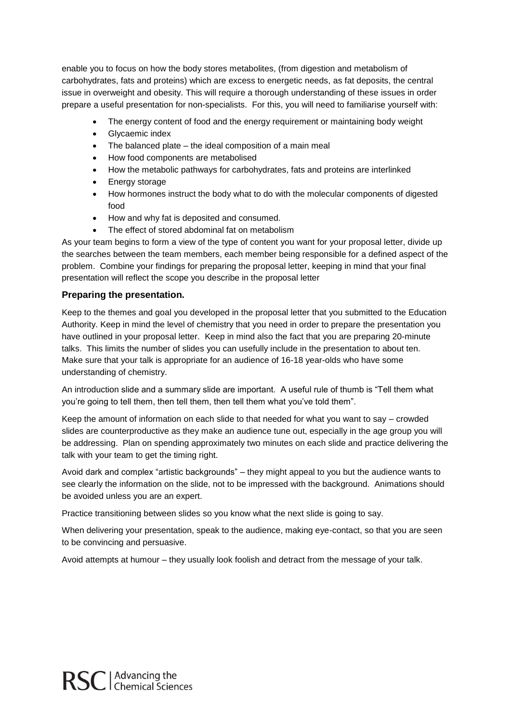enable you to focus on how the body stores metabolites, (from digestion and metabolism of carbohydrates, fats and proteins) which are excess to energetic needs, as fat deposits, the central issue in overweight and obesity. This will require a thorough understanding of these issues in order prepare a useful presentation for non-specialists. For this, you will need to familiarise yourself with:

- The energy content of food and the energy requirement or maintaining body weight
- Glycaemic index
- The balanced plate the ideal composition of a main meal
- How food components are metabolised
- How the metabolic pathways for carbohydrates, fats and proteins are interlinked
- Energy storage
- How hormones instruct the body what to do with the molecular components of digested food
- How and why fat is deposited and consumed.
- The effect of stored abdominal fat on metabolism

As your team begins to form a view of the type of content you want for your proposal letter, divide up the searches between the team members, each member being responsible for a defined aspect of the problem. Combine your findings for preparing the proposal letter, keeping in mind that your final presentation will reflect the scope you describe in the proposal letter

#### **Preparing the presentation.**

Keep to the themes and goal you developed in the proposal letter that you submitted to the Education Authority. Keep in mind the level of chemistry that you need in order to prepare the presentation you have outlined in your proposal letter. Keep in mind also the fact that you are preparing 20-minute talks. This limits the number of slides you can usefully include in the presentation to about ten. Make sure that your talk is appropriate for an audience of 16-18 year-olds who have some understanding of chemistry.

An introduction slide and a summary slide are important. A useful rule of thumb is "Tell them what you're going to tell them, then tell them, then tell them what you've told them".

Keep the amount of information on each slide to that needed for what you want to say – crowded slides are counterproductive as they make an audience tune out, especially in the age group you will be addressing. Plan on spending approximately two minutes on each slide and practice delivering the talk with your team to get the timing right.

Avoid dark and complex "artistic backgrounds" – they might appeal to you but the audience wants to see clearly the information on the slide, not to be impressed with the background. Animations should be avoided unless you are an expert.

Practice transitioning between slides so you know what the next slide is going to say.

When delivering your presentation, speak to the audience, making eye-contact, so that you are seen to be convincing and persuasive.

Avoid attempts at humour – they usually look foolish and detract from the message of your talk.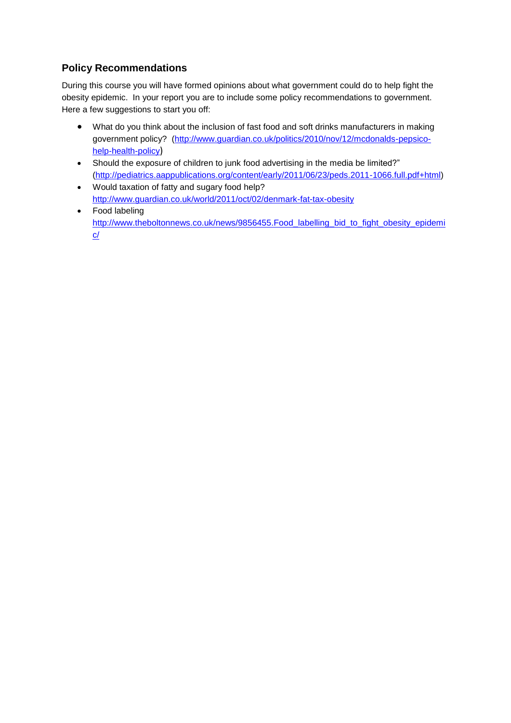# **Policy Recommendations**

During this course you will have formed opinions about what government could do to help fight the obesity epidemic. In your report you are to include some policy recommendations to government. Here a few suggestions to start you off:

- What do you think about the inclusion of fast food and soft drinks manufacturers in making government policy? [\(http://www.guardian.co.uk/politics/2010/nov/12/mcdonalds-pepsico](http://www.guardian.co.uk/politics/2010/nov/12/mcdonalds-pepsico-help-health-policy)[help-health-policy](http://www.guardian.co.uk/politics/2010/nov/12/mcdonalds-pepsico-help-health-policy))
- Should the exposure of children to junk food advertising in the media be limited?" [\(http://pediatrics.aappublications.org/content/early/2011/06/23/peds.2011-1066.full.pdf+html\)](http://pediatrics.aappublications.org/content/early/2011/06/23/peds.2011-1066.full.pdf+html)
- Would taxation of fatty and sugary food help? <http://www.guardian.co.uk/world/2011/oct/02/denmark-fat-tax-obesity>
- Food labeling [http://www.theboltonnews.co.uk/news/9856455.Food\\_labelling\\_bid\\_to\\_fight\\_obesity\\_epidemi](http://www.theboltonnews.co.uk/news/9856455.Food_labelling_bid_to_fight_obesity_epidemic/) [c/](http://www.theboltonnews.co.uk/news/9856455.Food_labelling_bid_to_fight_obesity_epidemic/)